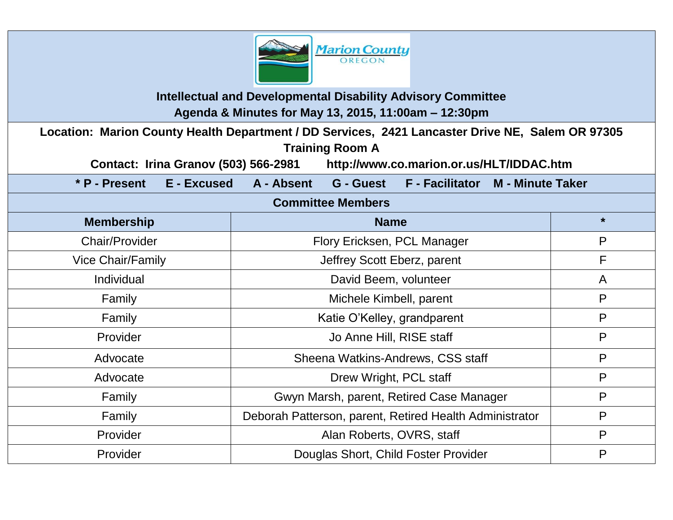

**Intellectual and Developmental Disability Advisory Committee Agenda & Minutes for May 13, 2015, 11:00am – 12:30pm**

**Location: Marion County Health Department / DD Services, 2421 Lancaster Drive NE, Salem OR 97305 Training Room A** 

**Contact: Irina Granov (503) 566-2981 http://www.co.marion.or.us/HLT/IDDAC.htm**

**\* P - Present E - Excused A - Absent G - Guest F - Facilitator M - Minute Taker**

| <b>Committee Members</b> |                                                         |         |  |
|--------------------------|---------------------------------------------------------|---------|--|
| <b>Membership</b>        | <b>Name</b>                                             | $\star$ |  |
| <b>Chair/Provider</b>    | Flory Ericksen, PCL Manager                             | P       |  |
| <b>Vice Chair/Family</b> | Jeffrey Scott Eberz, parent                             | F       |  |
| Individual               | David Beem, volunteer                                   | A       |  |
| Family                   | Michele Kimbell, parent                                 | P       |  |
| Family                   | Katie O'Kelley, grandparent                             | P       |  |
| Provider                 | Jo Anne Hill, RISE staff                                | P       |  |
| Advocate                 | Sheena Watkins-Andrews, CSS staff                       | P       |  |
| Advocate                 | Drew Wright, PCL staff                                  | P       |  |
| Family                   | Gwyn Marsh, parent, Retired Case Manager                | P       |  |
| Family                   | Deborah Patterson, parent, Retired Health Administrator | P       |  |
| Provider                 | Alan Roberts, OVRS, staff                               | P       |  |
| Provider                 | Douglas Short, Child Foster Provider                    | P       |  |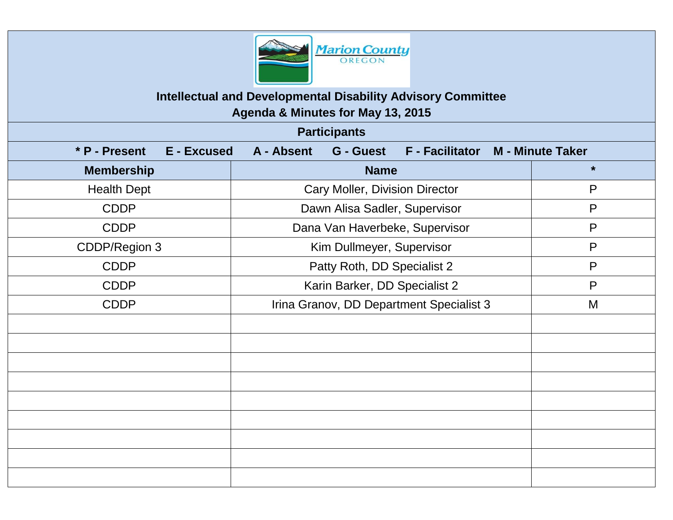

# **Intellectual and Developmental Disability Advisory Committee**

**Agenda & Minutes for May 13, 2015**

| <b>Participants</b>                 |                                                          |                         |  |
|-------------------------------------|----------------------------------------------------------|-------------------------|--|
| * P - Present<br><b>E</b> - Excused | A - Absent<br><b>G</b> - Guest<br><b>F</b> - Facilitator | <b>M - Minute Taker</b> |  |
| <b>Membership</b>                   | <b>Name</b>                                              | $\star$                 |  |
| <b>Health Dept</b>                  | <b>Cary Moller, Division Director</b>                    | $\mathsf{P}$            |  |
| <b>CDDP</b>                         | Dawn Alisa Sadler, Supervisor                            | $\mathsf{P}$            |  |
| <b>CDDP</b>                         | Dana Van Haverbeke, Supervisor                           | P                       |  |
| CDDP/Region 3                       | Kim Dullmeyer, Supervisor                                | P                       |  |
| <b>CDDP</b>                         | Patty Roth, DD Specialist 2                              | $\mathsf{P}$            |  |
| <b>CDDP</b>                         | Karin Barker, DD Specialist 2                            | $\mathsf{P}$            |  |
| <b>CDDP</b>                         | Irina Granov, DD Department Specialist 3                 | M                       |  |
|                                     |                                                          |                         |  |
|                                     |                                                          |                         |  |
|                                     |                                                          |                         |  |
|                                     |                                                          |                         |  |
|                                     |                                                          |                         |  |
|                                     |                                                          |                         |  |
|                                     |                                                          |                         |  |
|                                     |                                                          |                         |  |
|                                     |                                                          |                         |  |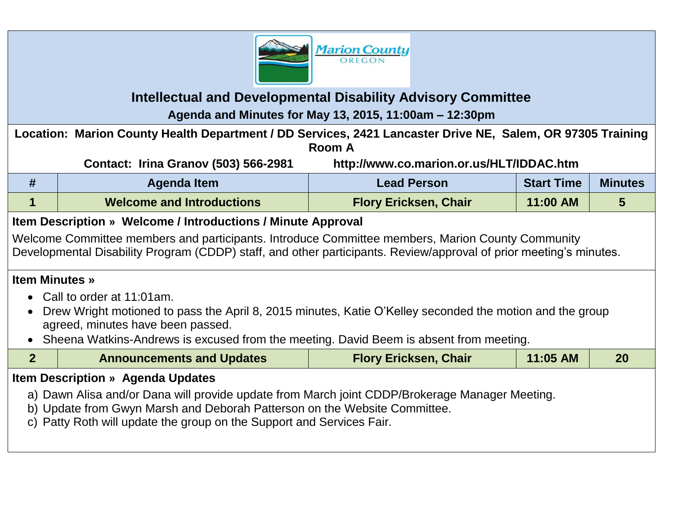

# **Intellectual and Developmental Disability Advisory Committee Agenda and Minutes for May 13, 2015, 11:00am – 12:30pm**

**Location: Marion County Health Department / DD Services, 2421 Lancaster Drive NE, Salem, OR 97305 Training Room A**

|   | <b>Contact: Irina Granov (503) 566-2981</b> | http://www.co.marion.or.us/HLT/IDDAC.htm |                   |                |
|---|---------------------------------------------|------------------------------------------|-------------------|----------------|
| # | Agenda Item                                 | <b>Lead Person</b>                       | <b>Start Time</b> | <b>Minutes</b> |
|   | <b>Welcome and Introductions</b>            | <b>Flory Ericksen, Chair</b>             | 11:00 AM          |                |

# **Item Description » Welcome / Introductions / Minute Approval**

Welcome Committee members and participants. Introduce Committee members, Marion County Community Developmental Disability Program (CDDP) staff, and other participants. Review/approval of prior meeting's minutes.

### **Item Minutes »**

- Call to order at 11:01am.
- Drew Wright motioned to pass the April 8, 2015 minutes, Katie O'Kelley seconded the motion and the group agreed, minutes have been passed.
- Sheena Watkins-Andrews is excused from the meeting. David Beem is absent from meeting.

|                                                                                                                                                                                                                                                                                                  | <b>Announcements and Updates</b> | <b>Flory Ericksen, Chair</b> | 11:05 AM | 20 |
|--------------------------------------------------------------------------------------------------------------------------------------------------------------------------------------------------------------------------------------------------------------------------------------------------|----------------------------------|------------------------------|----------|----|
|                                                                                                                                                                                                                                                                                                  |                                  |                              |          |    |
| <b>Item Description » Agenda Updates</b><br>a) Dawn Alisa and/or Dana will provide update from March joint CDDP/Brokerage Manager Meeting.<br>b) Update from Gwyn Marsh and Deborah Patterson on the Website Committee.<br>c) Patty Roth will update the group on the Support and Services Fair. |                                  |                              |          |    |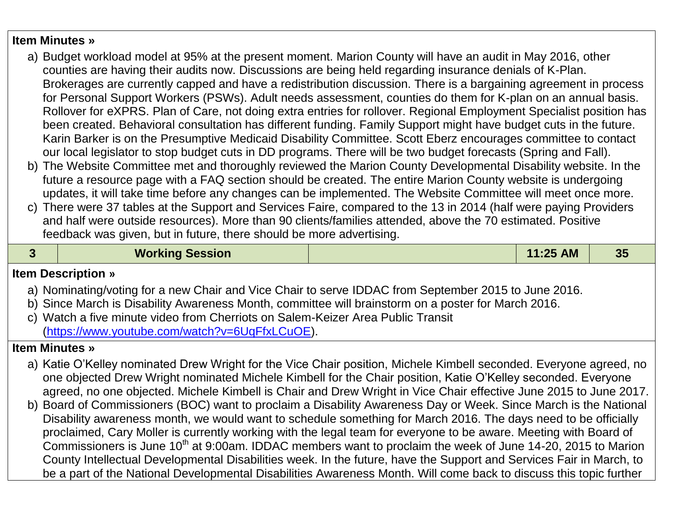#### **Item Minutes »**

- a) Budget workload model at 95% at the present moment. Marion County will have an audit in May 2016, other counties are having their audits now. Discussions are being held regarding insurance denials of K-Plan. Brokerages are currently capped and have a redistribution discussion. There is a bargaining agreement in process for Personal Support Workers (PSWs). Adult needs assessment, counties do them for K-plan on an annual basis. Rollover for eXPRS. Plan of Care, not doing extra entries for rollover. Regional Employment Specialist position has been created. Behavioral consultation has different funding. Family Support might have budget cuts in the future. Karin Barker is on the Presumptive Medicaid Disability Committee. Scott Eberz encourages committee to contact our local legislator to stop budget cuts in DD programs. There will be two budget forecasts (Spring and Fall).
- b) The Website Committee met and thoroughly reviewed the Marion County Developmental Disability website. In the future a resource page with a FAQ section should be created. The entire Marion County website is undergoing updates, it will take time before any changes can be implemented. The Website Committee will meet once more.
- c) There were 37 tables at the Support and Services Faire, compared to the 13 in 2014 (half were paying Providers and half were outside resources). More than 90 clients/families attended, above the 70 estimated. Positive feedback was given, but in future, there should be more advertising.

|  | <b>Working Session</b> | 11:25 AM | つに<br>JJ |
|--|------------------------|----------|----------|
|  |                        |          |          |

### **Item Description »**

- a) Nominating/voting for a new Chair and Vice Chair to serve IDDAC from September 2015 to June 2016.
- b) Since March is Disability Awareness Month, committee will brainstorm on a poster for March 2016.
- c) Watch a five minute video from Cherriots on Salem-Keizer Area Public Transit [\(https://www.youtube.com/watch?v=6UqFfxLCuOE\)](https://www.youtube.com/watch?v=6UqFfxLCuOE).

### **Item Minutes »**

- a) Katie O'Kelley nominated Drew Wright for the Vice Chair position, Michele Kimbell seconded. Everyone agreed, no one objected Drew Wright nominated Michele Kimbell for the Chair position, Katie O'Kelley seconded. Everyone agreed, no one objected. Michele Kimbell is Chair and Drew Wright in Vice Chair effective June 2015 to June 2017.
- b) Board of Commissioners (BOC) want to proclaim a Disability Awareness Day or Week. Since March is the National Disability awareness month, we would want to schedule something for March 2016. The days need to be officially proclaimed, Cary Moller is currently working with the legal team for everyone to be aware. Meeting with Board of Commissioners is June 10<sup>th</sup> at 9:00am. IDDAC members want to proclaim the week of June 14-20, 2015 to Marion County Intellectual Developmental Disabilities week. In the future, have the Support and Services Fair in March, to be a part of the National Developmental Disabilities Awareness Month. Will come back to discuss this topic further